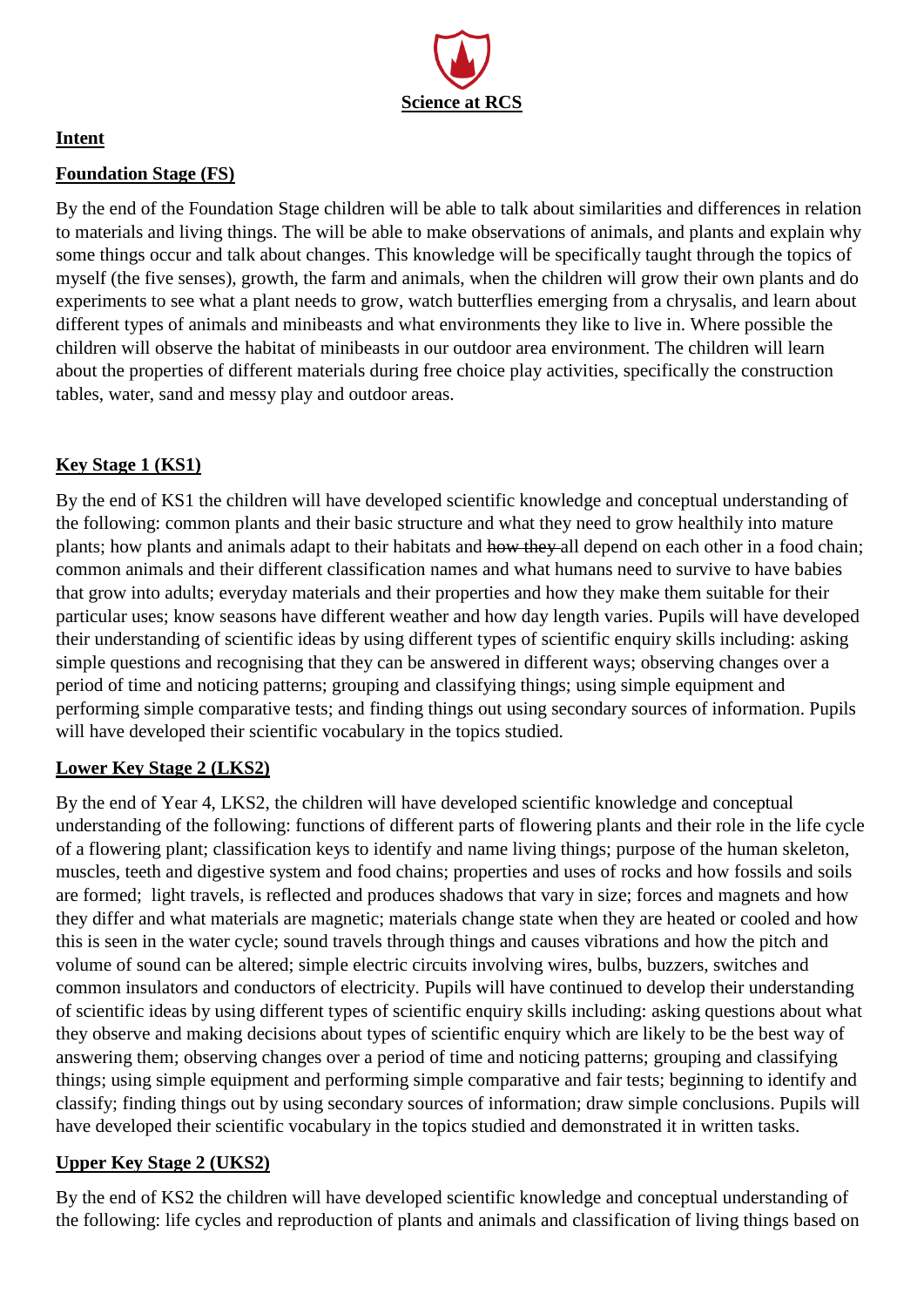

## **Intent**

## **Foundation Stage (FS)**

By the end of the Foundation Stage children will be able to talk about similarities and differences in relation to materials and living things. The will be able to make observations of animals, and plants and explain why some things occur and talk about changes. This knowledge will be specifically taught through the topics of myself (the five senses), growth, the farm and animals, when the children will grow their own plants and do experiments to see what a plant needs to grow, watch butterflies emerging from a chrysalis, and learn about different types of animals and minibeasts and what environments they like to live in. Where possible the children will observe the habitat of minibeasts in our outdoor area environment. The children will learn about the properties of different materials during free choice play activities, specifically the construction tables, water, sand and messy play and outdoor areas.

# **Key Stage 1 (KS1)**

By the end of KS1 the children will have developed scientific knowledge and conceptual understanding of the following: common plants and their basic structure and what they need to grow healthily into mature plants; how plants and animals adapt to their habitats and how they all depend on each other in a food chain; common animals and their different classification names and what humans need to survive to have babies that grow into adults; everyday materials and their properties and how they make them suitable for their particular uses; know seasons have different weather and how day length varies. Pupils will have developed their understanding of scientific ideas by using different types of scientific enquiry skills including: asking simple questions and recognising that they can be answered in different ways; observing changes over a period of time and noticing patterns; grouping and classifying things; using simple equipment and performing simple comparative tests; and finding things out using secondary sources of information. Pupils will have developed their scientific vocabulary in the topics studied.

# **Lower Key Stage 2 (LKS2)**

By the end of Year 4, LKS2, the children will have developed scientific knowledge and conceptual understanding of the following: functions of different parts of flowering plants and their role in the life cycle of a flowering plant; classification keys to identify and name living things; purpose of the human skeleton, muscles, teeth and digestive system and food chains; properties and uses of rocks and how fossils and soils are formed; light travels, is reflected and produces shadows that vary in size; forces and magnets and how they differ and what materials are magnetic; materials change state when they are heated or cooled and how this is seen in the water cycle; sound travels through things and causes vibrations and how the pitch and volume of sound can be altered; simple electric circuits involving wires, bulbs, buzzers, switches and common insulators and conductors of electricity. Pupils will have continued to develop their understanding of scientific ideas by using different types of scientific enquiry skills including: asking questions about what they observe and making decisions about types of scientific enquiry which are likely to be the best way of answering them; observing changes over a period of time and noticing patterns; grouping and classifying things; using simple equipment and performing simple comparative and fair tests; beginning to identify and classify; finding things out by using secondary sources of information; draw simple conclusions. Pupils will have developed their scientific vocabulary in the topics studied and demonstrated it in written tasks.

### **Upper Key Stage 2 (UKS2)**

By the end of KS2 the children will have developed scientific knowledge and conceptual understanding of the following: life cycles and reproduction of plants and animals and classification of living things based on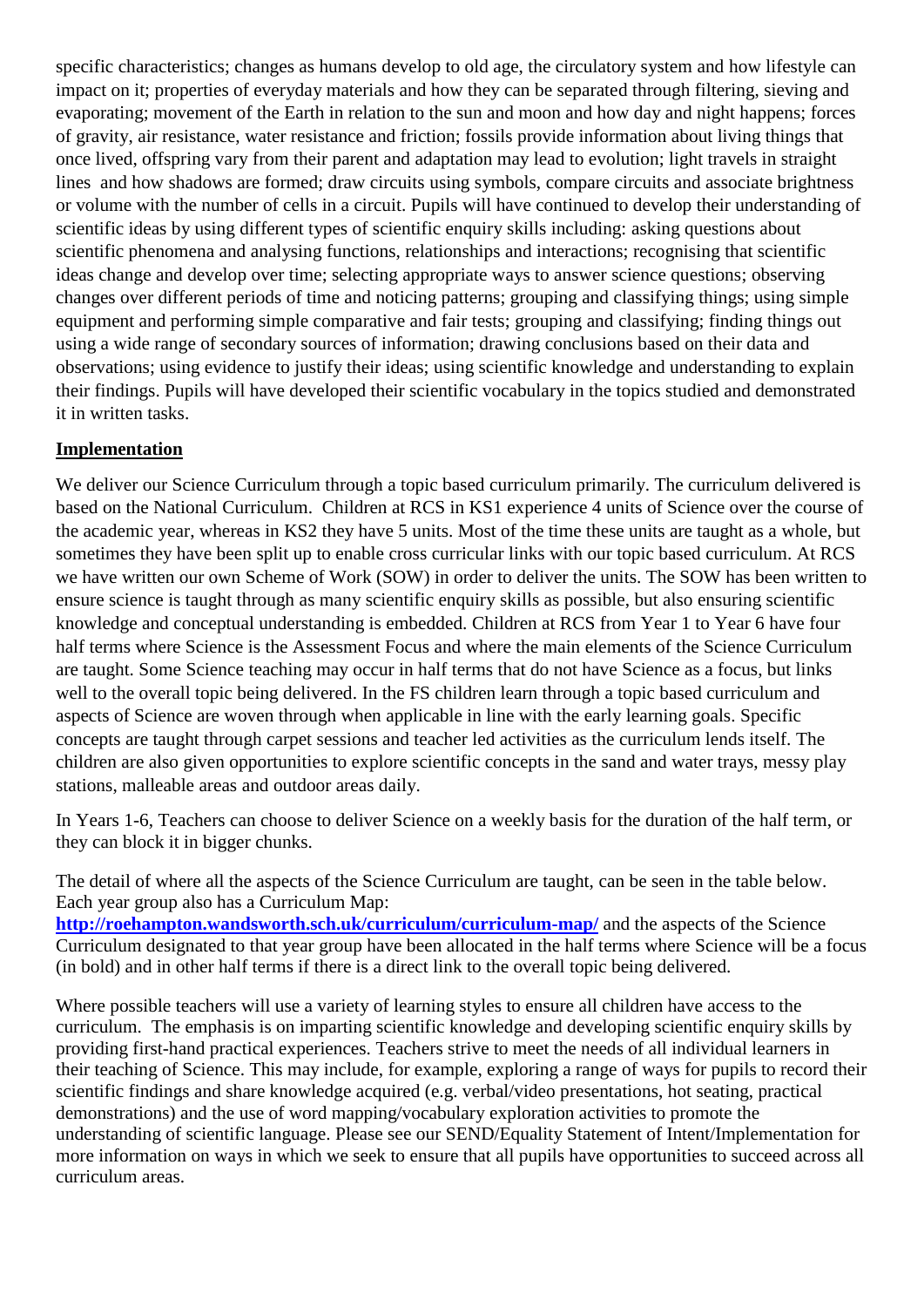specific characteristics; changes as humans develop to old age, the circulatory system and how lifestyle can impact on it; properties of everyday materials and how they can be separated through filtering, sieving and evaporating; movement of the Earth in relation to the sun and moon and how day and night happens; forces of gravity, air resistance, water resistance and friction; fossils provide information about living things that once lived, offspring vary from their parent and adaptation may lead to evolution; light travels in straight lines and how shadows are formed; draw circuits using symbols, compare circuits and associate brightness or volume with the number of cells in a circuit. Pupils will have continued to develop their understanding of scientific ideas by using different types of scientific enquiry skills including: asking questions about scientific phenomena and analysing functions, relationships and interactions; recognising that scientific ideas change and develop over time; selecting appropriate ways to answer science questions; observing changes over different periods of time and noticing patterns; grouping and classifying things; using simple equipment and performing simple comparative and fair tests; grouping and classifying; finding things out using a wide range of secondary sources of information; drawing conclusions based on their data and observations; using evidence to justify their ideas; using scientific knowledge and understanding to explain their findings. Pupils will have developed their scientific vocabulary in the topics studied and demonstrated it in written tasks.

### **Implementation**

We deliver our Science Curriculum through a topic based curriculum primarily. The curriculum delivered is based on the National Curriculum. Children at RCS in KS1 experience 4 units of Science over the course of the academic year, whereas in KS2 they have 5 units. Most of the time these units are taught as a whole, but sometimes they have been split up to enable cross curricular links with our topic based curriculum. At RCS we have written our own Scheme of Work (SOW) in order to deliver the units. The SOW has been written to ensure science is taught through as many scientific enquiry skills as possible, but also ensuring scientific knowledge and conceptual understanding is embedded. Children at RCS from Year 1 to Year 6 have four half terms where Science is the Assessment Focus and where the main elements of the Science Curriculum are taught. Some Science teaching may occur in half terms that do not have Science as a focus, but links well to the overall topic being delivered. In the FS children learn through a topic based curriculum and aspects of Science are woven through when applicable in line with the early learning goals. Specific concepts are taught through carpet sessions and teacher led activities as the curriculum lends itself. The children are also given opportunities to explore scientific concepts in the sand and water trays, messy play stations, malleable areas and outdoor areas daily.

In Years 1-6, Teachers can choose to deliver Science on a weekly basis for the duration of the half term, or they can block it in bigger chunks.

The detail of where all the aspects of the Science Curriculum are taught, can be seen in the table below. Each year group also has a Curriculum Map:

**<http://roehampton.wandsworth.sch.uk/curriculum/curriculum-map/>** and the aspects of the Science Curriculum designated to that year group have been allocated in the half terms where Science will be a focus (in bold) and in other half terms if there is a direct link to the overall topic being delivered.

Where possible teachers will use a variety of learning styles to ensure all children have access to the curriculum. The emphasis is on imparting scientific knowledge and developing scientific enquiry skills by providing first-hand practical experiences. Teachers strive to meet the needs of all individual learners in their teaching of Science. This may include, for example, exploring a range of ways for pupils to record their scientific findings and share knowledge acquired (e.g. verbal/video presentations, hot seating, practical demonstrations) and the use of word mapping/vocabulary exploration activities to promote the understanding of scientific language. Please see our SEND/Equality Statement of Intent/Implementation for more information on ways in which we seek to ensure that all pupils have opportunities to succeed across all curriculum areas.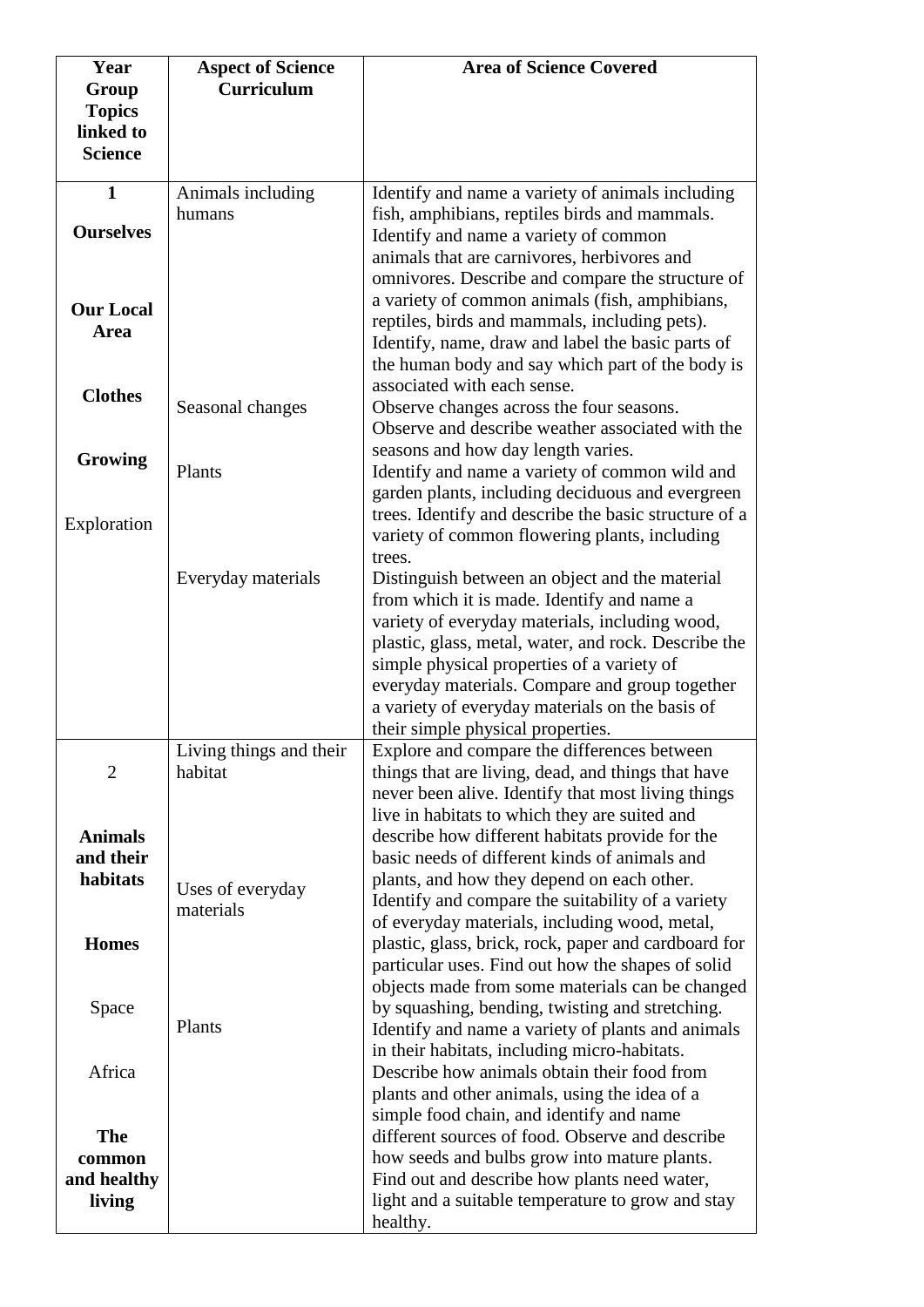| Year                  | <b>Aspect of Science</b>      | <b>Area of Science Covered</b>                                                               |
|-----------------------|-------------------------------|----------------------------------------------------------------------------------------------|
| Group                 | Curriculum                    |                                                                                              |
| <b>Topics</b>         |                               |                                                                                              |
| linked to             |                               |                                                                                              |
| <b>Science</b>        |                               |                                                                                              |
| $\mathbf{1}$          | Animals including             | Identify and name a variety of animals including                                             |
|                       | humans                        | fish, amphibians, reptiles birds and mammals.                                                |
| <b>Ourselves</b>      |                               | Identify and name a variety of common                                                        |
|                       |                               | animals that are carnivores, herbivores and                                                  |
|                       |                               | omnivores. Describe and compare the structure of                                             |
|                       |                               | a variety of common animals (fish, amphibians,                                               |
| <b>Our Local</b>      |                               | reptiles, birds and mammals, including pets).                                                |
| Area                  |                               | Identify, name, draw and label the basic parts of                                            |
|                       |                               | the human body and say which part of the body is                                             |
|                       |                               | associated with each sense.                                                                  |
| <b>Clothes</b>        | Seasonal changes              | Observe changes across the four seasons.                                                     |
|                       |                               | Observe and describe weather associated with the                                             |
|                       |                               | seasons and how day length varies.                                                           |
| Growing               | Plants                        | Identify and name a variety of common wild and                                               |
|                       |                               | garden plants, including deciduous and evergreen                                             |
| Exploration           |                               | trees. Identify and describe the basic structure of a                                        |
|                       |                               | variety of common flowering plants, including                                                |
|                       |                               | trees.                                                                                       |
|                       | Everyday materials            | Distinguish between an object and the material                                               |
|                       |                               | from which it is made. Identify and name a                                                   |
|                       |                               | variety of everyday materials, including wood,                                               |
|                       |                               | plastic, glass, metal, water, and rock. Describe the                                         |
|                       |                               | simple physical properties of a variety of                                                   |
|                       |                               | everyday materials. Compare and group together                                               |
|                       |                               | a variety of everyday materials on the basis of<br>their simple physical properties.         |
|                       | Living things and their       | Explore and compare the differences between                                                  |
| $\overline{2}$        | habitat                       | things that are living, dead, and things that have                                           |
|                       |                               | never been alive. Identify that most living things                                           |
|                       |                               | live in habitats to which they are suited and                                                |
| <b>Animals</b>        |                               | describe how different habitats provide for the                                              |
| and their             |                               | basic needs of different kinds of animals and                                                |
| habitats              |                               | plants, and how they depend on each other.                                                   |
|                       | Uses of everyday<br>materials | Identify and compare the suitability of a variety                                            |
|                       |                               | of everyday materials, including wood, metal,                                                |
| <b>Homes</b>          |                               | plastic, glass, brick, rock, paper and cardboard for                                         |
|                       |                               | particular uses. Find out how the shapes of solid                                            |
|                       |                               | objects made from some materials can be changed                                              |
| Space                 |                               | by squashing, bending, twisting and stretching.                                              |
|                       | Plants                        | Identify and name a variety of plants and animals                                            |
|                       |                               | in their habitats, including micro-habitats.                                                 |
| Africa                |                               | Describe how animals obtain their food from                                                  |
|                       |                               | plants and other animals, using the idea of a                                                |
|                       |                               | simple food chain, and identify and name                                                     |
| <b>The</b>            |                               | different sources of food. Observe and describe                                              |
| common                |                               | how seeds and bulbs grow into mature plants.<br>Find out and describe how plants need water, |
| and healthy<br>living |                               | light and a suitable temperature to grow and stay                                            |
|                       |                               | healthy.                                                                                     |
|                       |                               |                                                                                              |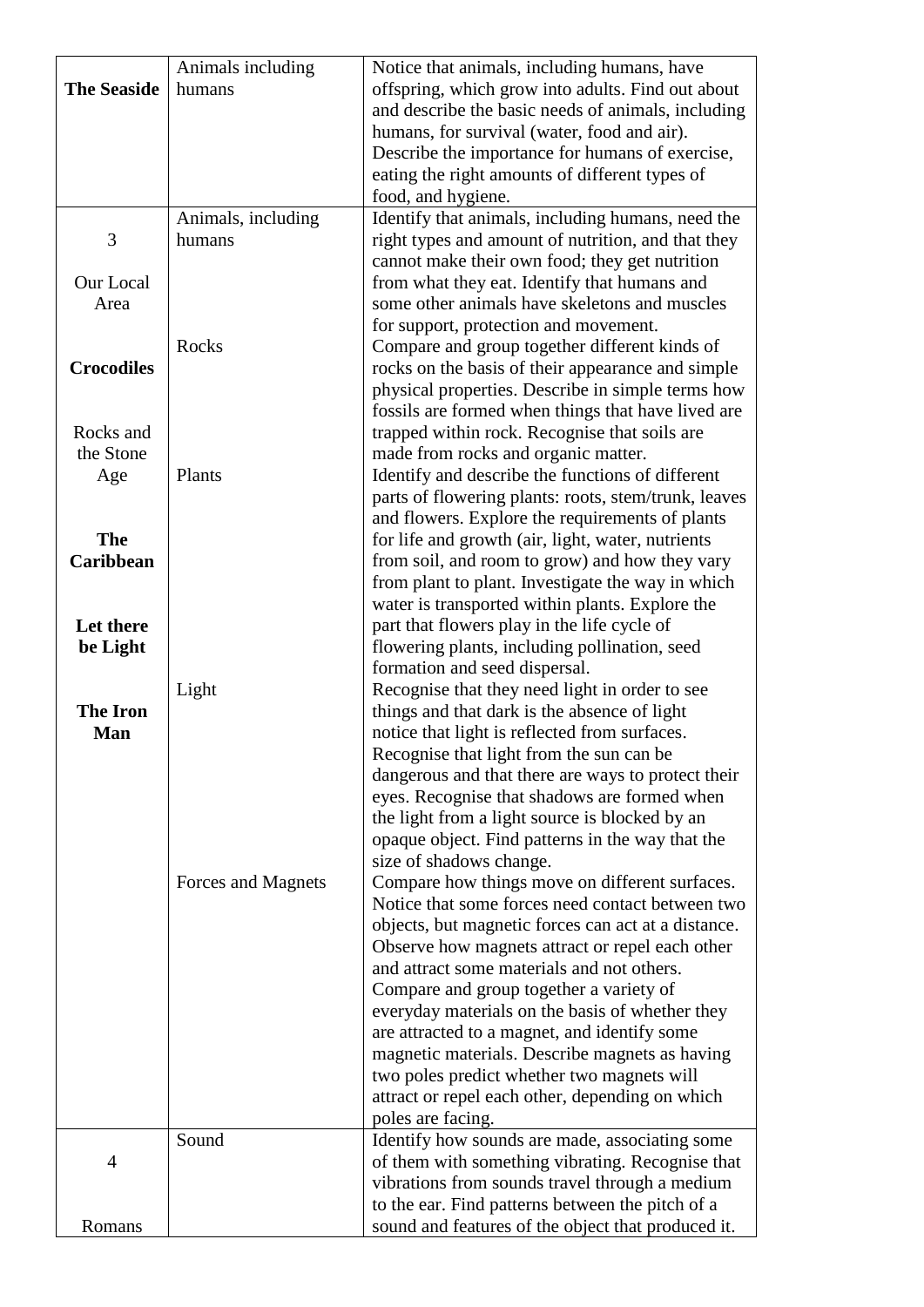|                        | Animals including  | Notice that animals, including humans, have                                                    |
|------------------------|--------------------|------------------------------------------------------------------------------------------------|
| <b>The Seaside</b>     | humans             | offspring, which grow into adults. Find out about                                              |
|                        |                    | and describe the basic needs of animals, including                                             |
|                        |                    | humans, for survival (water, food and air).                                                    |
|                        |                    | Describe the importance for humans of exercise,                                                |
|                        |                    | eating the right amounts of different types of                                                 |
|                        |                    | food, and hygiene.                                                                             |
|                        | Animals, including | Identify that animals, including humans, need the                                              |
| 3                      | humans             | right types and amount of nutrition, and that they                                             |
|                        |                    | cannot make their own food; they get nutrition                                                 |
| Our Local              |                    | from what they eat. Identify that humans and                                                   |
| Area                   |                    | some other animals have skeletons and muscles                                                  |
|                        | Rocks              | for support, protection and movement.<br>Compare and group together different kinds of         |
| <b>Crocodiles</b>      |                    | rocks on the basis of their appearance and simple                                              |
|                        |                    | physical properties. Describe in simple terms how                                              |
|                        |                    | fossils are formed when things that have lived are                                             |
| Rocks and              |                    | trapped within rock. Recognise that soils are                                                  |
| the Stone              |                    | made from rocks and organic matter.                                                            |
| Age                    | Plants             | Identify and describe the functions of different                                               |
|                        |                    | parts of flowering plants: roots, stem/trunk, leaves                                           |
|                        |                    | and flowers. Explore the requirements of plants                                                |
| <b>The</b>             |                    | for life and growth (air, light, water, nutrients                                              |
| <b>Caribbean</b>       |                    | from soil, and room to grow) and how they vary                                                 |
|                        |                    | from plant to plant. Investigate the way in which                                              |
|                        |                    | water is transported within plants. Explore the                                                |
| Let there              |                    | part that flowers play in the life cycle of                                                    |
| be Light               |                    | flowering plants, including pollination, seed                                                  |
|                        |                    | formation and seed dispersal.                                                                  |
|                        | Light              | Recognise that they need light in order to see                                                 |
| <b>The Iron</b><br>Man |                    | things and that dark is the absence of light<br>notice that light is reflected from surfaces.  |
|                        |                    | Recognise that light from the sun can be                                                       |
|                        |                    | dangerous and that there are ways to protect their                                             |
|                        |                    | eyes. Recognise that shadows are formed when                                                   |
|                        |                    | the light from a light source is blocked by an                                                 |
|                        |                    | opaque object. Find patterns in the way that the                                               |
|                        |                    | size of shadows change.                                                                        |
|                        | Forces and Magnets | Compare how things move on different surfaces.                                                 |
|                        |                    | Notice that some forces need contact between two                                               |
|                        |                    | objects, but magnetic forces can act at a distance.                                            |
|                        |                    | Observe how magnets attract or repel each other                                                |
|                        |                    | and attract some materials and not others.                                                     |
|                        |                    | Compare and group together a variety of                                                        |
|                        |                    | everyday materials on the basis of whether they                                                |
|                        |                    | are attracted to a magnet, and identify some<br>magnetic materials. Describe magnets as having |
|                        |                    | two poles predict whether two magnets will                                                     |
|                        |                    | attract or repel each other, depending on which                                                |
|                        |                    | poles are facing.                                                                              |
|                        | Sound              | Identify how sounds are made, associating some                                                 |
| 4                      |                    | of them with something vibrating. Recognise that                                               |
|                        |                    | vibrations from sounds travel through a medium                                                 |
|                        |                    | to the ear. Find patterns between the pitch of a                                               |
| Romans                 |                    | sound and features of the object that produced it.                                             |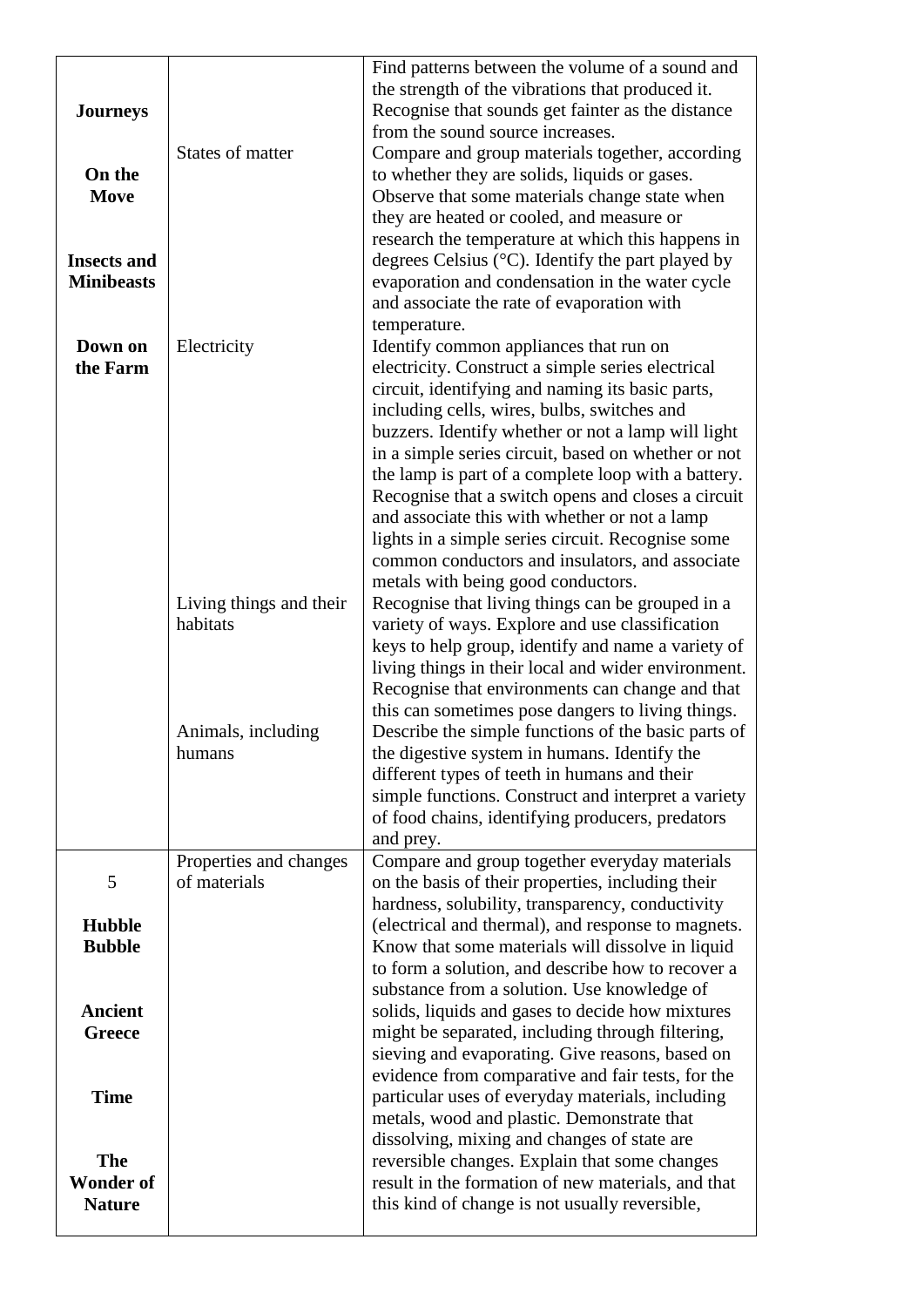| <b>Journeys</b><br>On the<br>Move<br><b>Insects and</b><br><b>Minibeasts</b> | <b>States of matter</b>                | Find patterns between the volume of a sound and<br>the strength of the vibrations that produced it.<br>Recognise that sounds get fainter as the distance<br>from the sound source increases.<br>Compare and group materials together, according<br>to whether they are solids, liquids or gases.<br>Observe that some materials change state when<br>they are heated or cooled, and measure or<br>research the temperature at which this happens in<br>degrees Celsius ( $\rm{^{\circ}C}$ ). Identify the part played by<br>evaporation and condensation in the water cycle<br>and associate the rate of evaporation with<br>temperature. |
|------------------------------------------------------------------------------|----------------------------------------|-------------------------------------------------------------------------------------------------------------------------------------------------------------------------------------------------------------------------------------------------------------------------------------------------------------------------------------------------------------------------------------------------------------------------------------------------------------------------------------------------------------------------------------------------------------------------------------------------------------------------------------------|
| Down on<br>the Farm                                                          | Electricity                            | Identify common appliances that run on<br>electricity. Construct a simple series electrical<br>circuit, identifying and naming its basic parts,<br>including cells, wires, bulbs, switches and<br>buzzers. Identify whether or not a lamp will light<br>in a simple series circuit, based on whether or not<br>the lamp is part of a complete loop with a battery.<br>Recognise that a switch opens and closes a circuit<br>and associate this with whether or not a lamp<br>lights in a simple series circuit. Recognise some<br>common conductors and insulators, and associate<br>metals with being good conductors.                   |
|                                                                              | Living things and their<br>habitats    | Recognise that living things can be grouped in a<br>variety of ways. Explore and use classification<br>keys to help group, identify and name a variety of<br>living things in their local and wider environment.<br>Recognise that environments can change and that<br>this can sometimes pose dangers to living things.                                                                                                                                                                                                                                                                                                                  |
|                                                                              | Animals, including<br>humans           | Describe the simple functions of the basic parts of<br>the digestive system in humans. Identify the<br>different types of teeth in humans and their<br>simple functions. Construct and interpret a variety<br>of food chains, identifying producers, predators<br>and prey.                                                                                                                                                                                                                                                                                                                                                               |
| 5                                                                            | Properties and changes<br>of materials | Compare and group together everyday materials<br>on the basis of their properties, including their                                                                                                                                                                                                                                                                                                                                                                                                                                                                                                                                        |
| <b>Hubble</b><br><b>Bubble</b>                                               |                                        | hardness, solubility, transparency, conductivity<br>(electrical and thermal), and response to magnets.<br>Know that some materials will dissolve in liquid<br>to form a solution, and describe how to recover a<br>substance from a solution. Use knowledge of                                                                                                                                                                                                                                                                                                                                                                            |
| <b>Ancient</b><br><b>Greece</b>                                              |                                        | solids, liquids and gases to decide how mixtures<br>might be separated, including through filtering,<br>sieving and evaporating. Give reasons, based on<br>evidence from comparative and fair tests, for the                                                                                                                                                                                                                                                                                                                                                                                                                              |
| <b>Time</b>                                                                  |                                        | particular uses of everyday materials, including<br>metals, wood and plastic. Demonstrate that<br>dissolving, mixing and changes of state are                                                                                                                                                                                                                                                                                                                                                                                                                                                                                             |
| <b>The</b><br><b>Wonder of</b><br><b>Nature</b>                              |                                        | reversible changes. Explain that some changes<br>result in the formation of new materials, and that<br>this kind of change is not usually reversible,                                                                                                                                                                                                                                                                                                                                                                                                                                                                                     |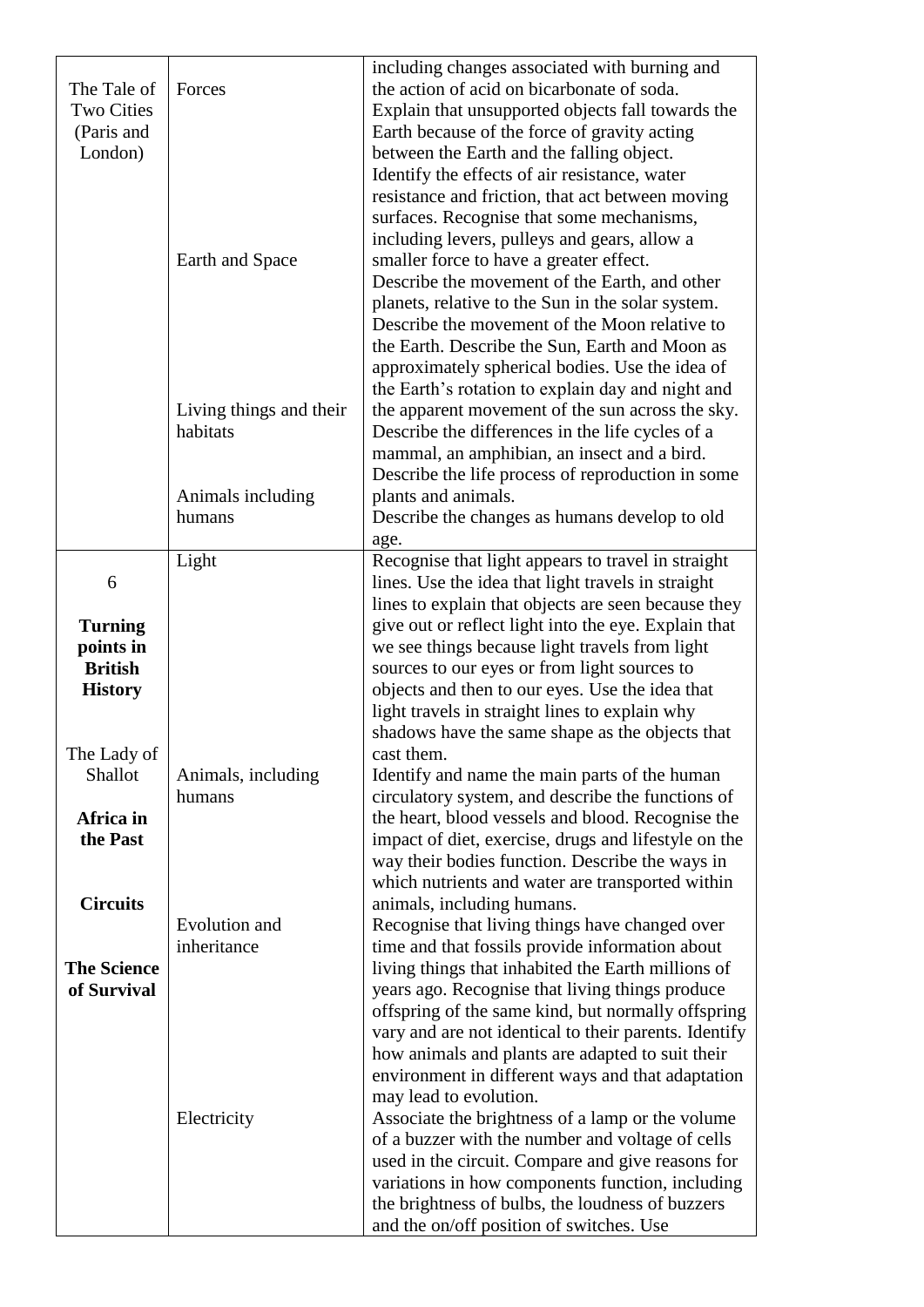| The Tale of<br><b>Two Cities</b><br>(Paris and<br>London)       | Forces                              | including changes associated with burning and<br>the action of acid on bicarbonate of soda.<br>Explain that unsupported objects fall towards the<br>Earth because of the force of gravity acting<br>between the Earth and the falling object.<br>Identify the effects of air resistance, water<br>resistance and friction, that act between moving<br>surfaces. Recognise that some mechanisms, |
|-----------------------------------------------------------------|-------------------------------------|-------------------------------------------------------------------------------------------------------------------------------------------------------------------------------------------------------------------------------------------------------------------------------------------------------------------------------------------------------------------------------------------------|
|                                                                 | Earth and Space                     | including levers, pulleys and gears, allow a<br>smaller force to have a greater effect.<br>Describe the movement of the Earth, and other<br>planets, relative to the Sun in the solar system.<br>Describe the movement of the Moon relative to<br>the Earth. Describe the Sun, Earth and Moon as<br>approximately spherical bodies. Use the idea of                                             |
|                                                                 | Living things and their<br>habitats | the Earth's rotation to explain day and night and<br>the apparent movement of the sun across the sky.<br>Describe the differences in the life cycles of a<br>mammal, an amphibian, an insect and a bird.<br>Describe the life process of reproduction in some                                                                                                                                   |
|                                                                 | Animals including<br>humans         | plants and animals.<br>Describe the changes as humans develop to old<br>age.                                                                                                                                                                                                                                                                                                                    |
| 6                                                               | Light                               | Recognise that light appears to travel in straight<br>lines. Use the idea that light travels in straight                                                                                                                                                                                                                                                                                        |
| <b>Turning</b><br>points in<br><b>British</b><br><b>History</b> |                                     | lines to explain that objects are seen because they<br>give out or reflect light into the eye. Explain that<br>we see things because light travels from light<br>sources to our eyes or from light sources to<br>objects and then to our eyes. Use the idea that<br>light travels in straight lines to explain why<br>shadows have the same shape as the objects that                           |
| The Lady of<br>Shallot                                          | Animals, including<br>humans        | cast them.<br>Identify and name the main parts of the human<br>circulatory system, and describe the functions of                                                                                                                                                                                                                                                                                |
| Africa in<br>the Past                                           |                                     | the heart, blood vessels and blood. Recognise the<br>impact of diet, exercise, drugs and lifestyle on the<br>way their bodies function. Describe the ways in<br>which nutrients and water are transported within                                                                                                                                                                                |
| <b>Circuits</b>                                                 | Evolution and<br>inheritance        | animals, including humans.<br>Recognise that living things have changed over<br>time and that fossils provide information about                                                                                                                                                                                                                                                                 |
| <b>The Science</b><br>of Survival                               |                                     | living things that inhabited the Earth millions of<br>years ago. Recognise that living things produce<br>offspring of the same kind, but normally offspring<br>vary and are not identical to their parents. Identify<br>how animals and plants are adapted to suit their<br>environment in different ways and that adaptation<br>may lead to evolution.                                         |
|                                                                 | Electricity                         | Associate the brightness of a lamp or the volume<br>of a buzzer with the number and voltage of cells<br>used in the circuit. Compare and give reasons for<br>variations in how components function, including<br>the brightness of bulbs, the loudness of buzzers<br>and the on/off position of switches. Use                                                                                   |